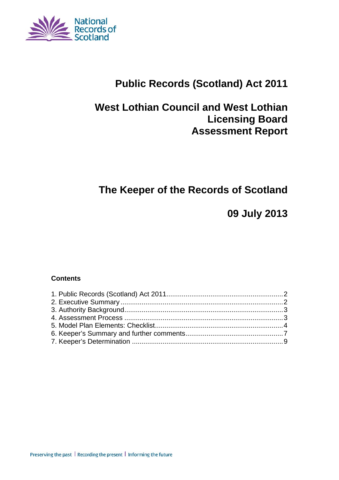

# **Public Records (Scotland) Act 2011**

# **West Lothian Council and West Lothian Licensing Board Assessment Report**

# **The Keeper of the Records of Scotland**

**09 July 2013** 

### **Contents**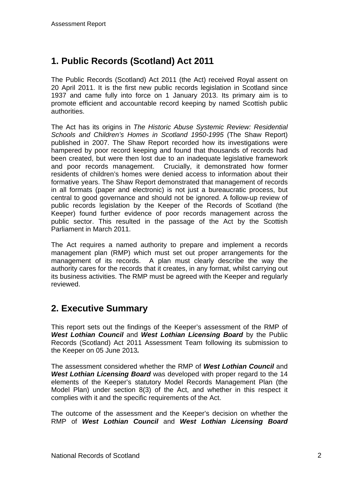# **1. Public Records (Scotland) Act 2011**

The Public Records (Scotland) Act 2011 (the Act) received Royal assent on 20 April 2011. It is the first new public records legislation in Scotland since 1937 and came fully into force on 1 January 2013. Its primary aim is to promote efficient and accountable record keeping by named Scottish public authorities.

The Act has its origins in *The Historic Abuse Systemic Review: Residential Schools and Children's Homes in Scotland 1950-1995* (The Shaw Report) published in 2007. The Shaw Report recorded how its investigations were hampered by poor record keeping and found that thousands of records had been created, but were then lost due to an inadequate legislative framework and poor records management. Crucially, it demonstrated how former residents of children's homes were denied access to information about their formative years. The Shaw Report demonstrated that management of records in all formats (paper and electronic) is not just a bureaucratic process, but central to good governance and should not be ignored. A follow-up review of public records legislation by the Keeper of the Records of Scotland (the Keeper) found further evidence of poor records management across the public sector. This resulted in the passage of the Act by the Scottish Parliament in March 2011.

The Act requires a named authority to prepare and implement a records management plan (RMP) which must set out proper arrangements for the management of its records. A plan must clearly describe the way the authority cares for the records that it creates, in any format, whilst carrying out its business activities. The RMP must be agreed with the Keeper and regularly reviewed.

## **2. Executive Summary**

This report sets out the findings of the Keeper's assessment of the RMP of *West Lothian Council* and *West Lothian Licensing Board* by the Public Records (Scotland) Act 2011 Assessment Team following its submission to the Keeper on 05 June 2013*.*

The assessment considered whether the RMP of *West Lothian Council* and *West Lothian Licensing Board* was developed with proper regard to the 14 elements of the Keeper's statutory Model Records Management Plan (the Model Plan) under section 8(3) of the Act, and whether in this respect it complies with it and the specific requirements of the Act.

The outcome of the assessment and the Keeper's decision on whether the RMP of *West Lothian Council* and *West Lothian Licensing Board*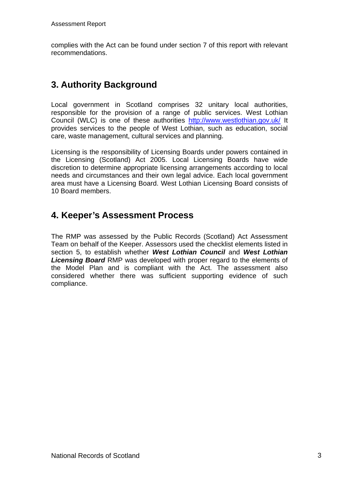complies with the Act can be found under section 7 of this report with relevant recommendations.

# **3. Authority Background**

Local government in Scotland comprises 32 unitary local authorities, responsible for the provision of a range of public services. West Lothian Council (WLC) is one of these authorities <http://www.westlothian.gov.uk/>It provides services to the people of West Lothian, such as education, social care, waste management, cultural services and planning.

Licensing is the responsibility of Licensing Boards under powers contained in the Licensing (Scotland) Act 2005. Local Licensing Boards have wide discretion to determine appropriate licensing arrangements according to local needs and circumstances and their own legal advice. Each local government area must have a Licensing Board. West Lothian Licensing Board consists of 10 Board members.

## **4. Keeper's Assessment Process**

The RMP was assessed by the Public Records (Scotland) Act Assessment Team on behalf of the Keeper. Assessors used the checklist elements listed in section 5, to establish whether *West Lothian Council* and *West Lothian Licensing Board* RMP was developed with proper regard to the elements of the Model Plan and is compliant with the Act. The assessment also considered whether there was sufficient supporting evidence of such compliance.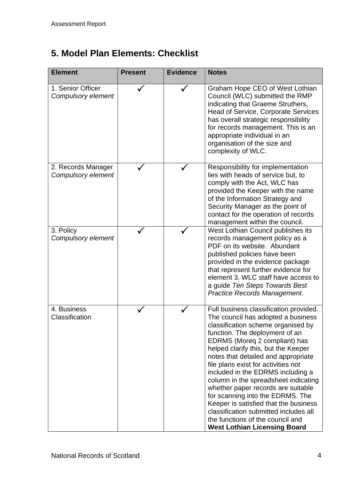# **5. Model Plan Elements: Checklist**

| <b>Element</b>                           | <b>Present</b> | <b>Evidence</b> | <b>Notes</b>                                                                                                                                                                                                                                                                                                                                                                                                                                                                                                                                                                                                                   |
|------------------------------------------|----------------|-----------------|--------------------------------------------------------------------------------------------------------------------------------------------------------------------------------------------------------------------------------------------------------------------------------------------------------------------------------------------------------------------------------------------------------------------------------------------------------------------------------------------------------------------------------------------------------------------------------------------------------------------------------|
| 1. Senior Officer<br>Compulsory element  |                |                 | Graham Hope CEO of West Lothian<br>Council (WLC) submitted the RMP<br>indicating that Graeme Struthers,<br><b>Head of Service, Corporate Services</b><br>has overall strategic responsibility<br>for records management. This is an<br>appropriate individual in an<br>organisation of the size and<br>complexity of WLC.                                                                                                                                                                                                                                                                                                      |
| 2. Records Manager<br>Compulsory element |                |                 | Responsibility for implementation<br>lies with heads of service but, to<br>comply with the Act, WLC has<br>provided the Keeper with the name<br>of the Information Strategy and<br>Security Manager as the point of<br>contact for the operation of records<br>management within the council.                                                                                                                                                                                                                                                                                                                                  |
| 3. Policy<br>Compulsory element          |                |                 | West Lothian Council publishes its<br>records management policy as a<br>PDF on its website. Abundant<br>published policies have been<br>provided in the evidence package<br>that represent further evidence for<br>element 3. WLC staff have access to<br>a guide Ten Steps Towards Best<br>Practice Records Management.                                                                                                                                                                                                                                                                                                       |
| 4. Business<br>Classification            |                |                 | Full business classification provided.<br>The council has adopted a business<br>classification scheme organised by<br>function. The deployment of an<br>EDRMS (Moreg 2 compliant) has<br>helped clarify this, but the Keeper<br>notes that detailed and appropriate<br>file plans exist for activities not<br>included in the EDRMS including a<br>column in the spreadsheet indicating<br>whether paper records are suitable<br>for scanning into the EDRMS. The<br>Keeper is satisfied that the business<br>classification submitted includes all<br>the functions of the council and<br><b>West Lothian Licensing Board</b> |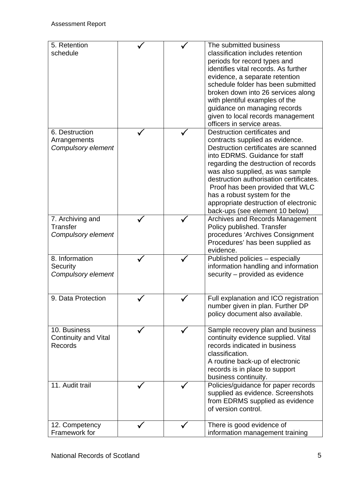| 5. Retention<br>schedule            |  | The submitted business<br>classification includes retention          |
|-------------------------------------|--|----------------------------------------------------------------------|
|                                     |  | periods for record types and                                         |
|                                     |  | identifies vital records. As further                                 |
|                                     |  | evidence, a separate retention                                       |
|                                     |  | schedule folder has been submitted                                   |
|                                     |  | broken down into 26 services along                                   |
|                                     |  | with plentiful examples of the                                       |
|                                     |  | guidance on managing records<br>given to local records management    |
|                                     |  | officers in service areas.                                           |
| 6. Destruction                      |  | Destruction certificates and                                         |
| Arrangements                        |  | contracts supplied as evidence.                                      |
| Compulsory element                  |  | Destruction certificates are scanned                                 |
|                                     |  | into EDRMS. Guidance for staff                                       |
|                                     |  | regarding the destruction of records                                 |
|                                     |  | was also supplied, as was sample                                     |
|                                     |  | destruction authorisation certificates.                              |
|                                     |  | Proof has been provided that WLC                                     |
|                                     |  | has a robust system for the                                          |
|                                     |  | appropriate destruction of electronic                                |
|                                     |  | back-ups (see element 10 below)                                      |
| 7. Archiving and<br><b>Transfer</b> |  | <b>Archives and Records Management</b><br>Policy published. Transfer |
| Compulsory element                  |  | procedures 'Archives Consignment                                     |
|                                     |  | Procedures' has been supplied as                                     |
|                                     |  | evidence.                                                            |
| 8. Information                      |  | Published policies - especially                                      |
| Security                            |  | information handling and information                                 |
| Compulsory element                  |  | security – provided as evidence                                      |
|                                     |  |                                                                      |
| 9. Data Protection                  |  | Full explanation and ICO registration                                |
|                                     |  | number given in plan. Further DP                                     |
|                                     |  | policy document also available.                                      |
|                                     |  |                                                                      |
| 10. Business                        |  | Sample recovery plan and business                                    |
| <b>Continuity and Vital</b>         |  | continuity evidence supplied. Vital                                  |
| Records                             |  | records indicated in business                                        |
|                                     |  | classification.                                                      |
|                                     |  | A routine back-up of electronic<br>records is in place to support    |
|                                     |  | business continuity.                                                 |
| 11. Audit trail                     |  | Policies/guidance for paper records                                  |
|                                     |  | supplied as evidence. Screenshots                                    |
|                                     |  | from EDRMS supplied as evidence                                      |
|                                     |  | of version control.                                                  |
|                                     |  |                                                                      |
| 12. Competency<br>Framework for     |  | There is good evidence of<br>information management training         |
|                                     |  |                                                                      |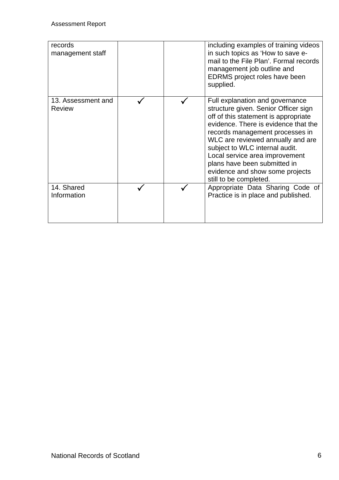| records<br>management staff         |  | including examples of training videos<br>in such topics as 'How to save e-<br>mail to the File Plan'. Formal records<br>management job outline and<br>EDRMS project roles have been<br>supplied.                                                                                                                                                                                                 |
|-------------------------------------|--|--------------------------------------------------------------------------------------------------------------------------------------------------------------------------------------------------------------------------------------------------------------------------------------------------------------------------------------------------------------------------------------------------|
| 13. Assessment and<br><b>Review</b> |  | Full explanation and governance<br>structure given. Senior Officer sign<br>off of this statement is appropriate<br>evidence. There is evidence that the<br>records management processes in<br>WLC are reviewed annually and are<br>subject to WLC internal audit.<br>Local service area improvement<br>plans have been submitted in<br>evidence and show some projects<br>still to be completed. |
| 14. Shared<br>Information           |  | Appropriate Data Sharing Code of<br>Practice is in place and published.                                                                                                                                                                                                                                                                                                                          |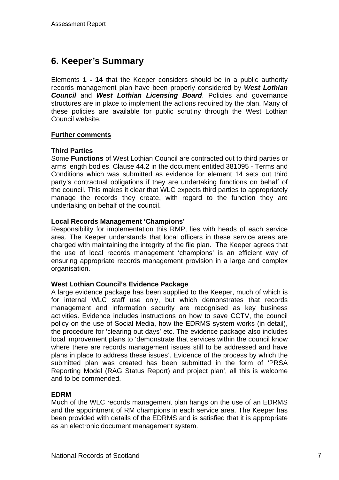## **6. Keeper's Summary**

Elements **1 - 14** that the Keeper considers should be in a public authority records management plan have been properly considered by *West Lothian Council* and *West Lothian Licensing Board*. Policies and governance structures are in place to implement the actions required by the plan. Many of these policies are available for public scrutiny through the West Lothian Council website.

### **Further comments**

### **Third Parties**

Some **Functions** of West Lothian Council are contracted out to third parties or arms length bodies. Clause 44.2 in the document entitled 381095 - Terms and Conditions which was submitted as evidence for element 14 sets out third party's contractual obligations if they are undertaking functions on behalf of the council. This makes it clear that WLC expects third parties to appropriately manage the records they create, with regard to the function they are undertaking on behalf of the council.

### **Local Records Management 'Champions'**

Responsibility for implementation this RMP, lies with heads of each service area. The Keeper understands that local officers in these service areas are charged with maintaining the integrity of the file plan. The Keeper agrees that the use of local records management 'champions' is an efficient way of ensuring appropriate records management provision in a large and complex organisation.

### **West Lothian Council's Evidence Package**

A large evidence package has been supplied to the Keeper, much of which is for internal WLC staff use only, but which demonstrates that records management and information security are recognised as key business activities. Evidence includes instructions on how to save CCTV, the council policy on the use of Social Media, how the EDRMS system works (in detail), the procedure for 'clearing out days' etc. The evidence package also includes local improvement plans to 'demonstrate that services within the council know where there are records management issues still to be addressed and have plans in place to address these issues'. Evidence of the process by which the submitted plan was created has been submitted in the form of 'PRSA Reporting Model (RAG Status Report) and project plan', all this is welcome and to be commended.

### **EDRM**

Much of the WLC records management plan hangs on the use of an EDRMS and the appointment of RM champions in each service area. The Keeper has been provided with details of the EDRMS and is satisfied that it is appropriate as an electronic document management system.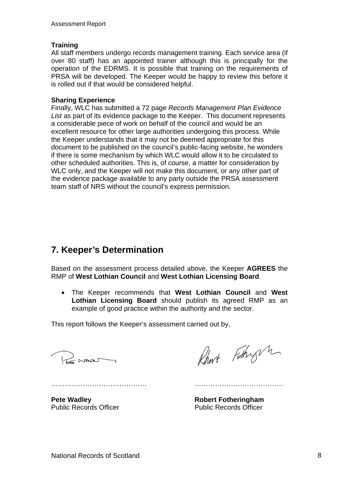### **Training**

All staff members undergo records management training. Each service area (if over 80 staff) has an appointed trainer although this is principally for the operation of the EDRMS. It is possible that training on the requirements of PRSA will be developed. The Keeper would be happy to review this before it is rolled out if that would be considered helpful.

#### **Sharing Experience**

Finally, WLC has submitted a 72 page *Records Management Plan Evidence List* as part of its evidence package to the Keeper. This document represents a considerable piece of work on behalf of the council and would be an excellent resource for other large authorities undergoing this process. While the Keeper understands that it may not be deemed appropriate for this document to be published on the council's public-facing website, he wonders if there is some mechanism by which WLC would allow it to be circulated to other scheduled authorities. This is, of course, a matter for consideration by WLC only, and the Keeper will not make this document, or any other part of the evidence package available to any party outside the PRSA assessment team staff of NRS without the council's express permission.

## **7. Keeper's Determination**

Based on the assessment process detailed above, the Keeper **AGREES** the RMP of **West Lothian Council** and **West Lothian Licensing Board**.

 The Keeper recommends that **West Lothian Council** and **West Lothian Licensing Board** should publish its agreed RMP as an example of good practice within the authority and the sector.

This report follows the Keeper's assessment carried out by,

Parmar

Robert Fathry m

…………………………………… …………………………………

Public Records Officer **Public Records Officer** 

**Pete Wadley Community Community Robert Fotheringham**